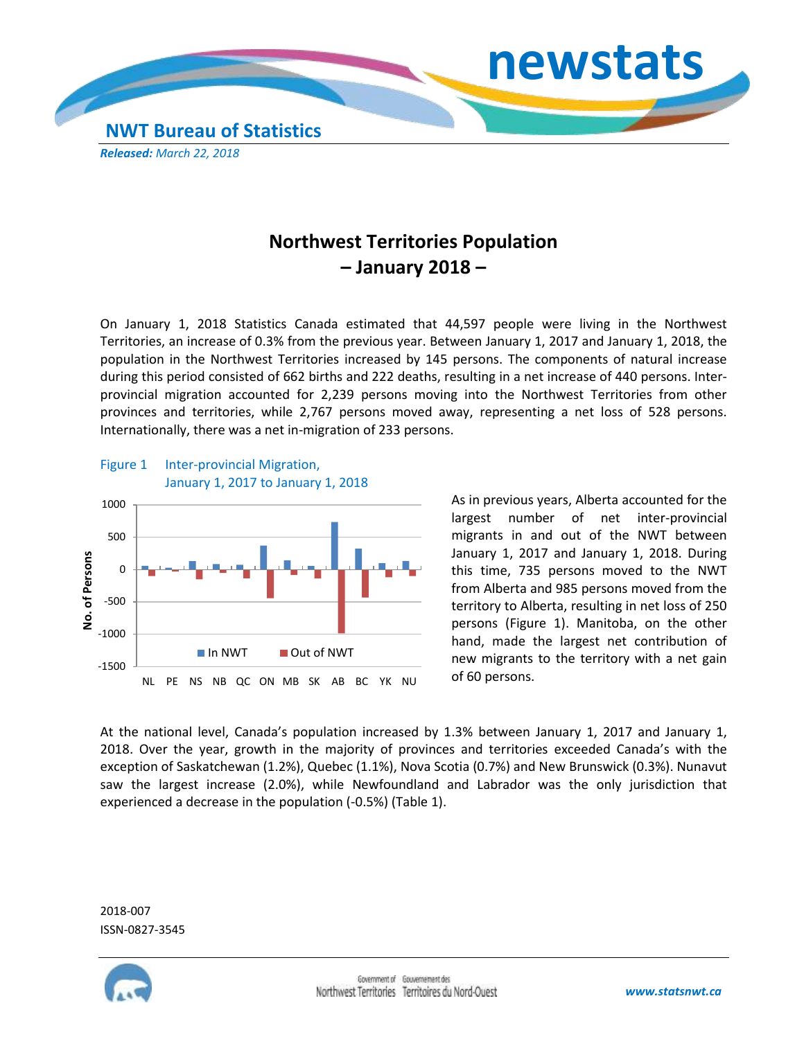

## **Northwest Territories Population – January 2018 –**

On January 1, 2018 Statistics Canada estimated that 44,597 people were living in the Northwest Territories, an increase of 0.3% from the previous year. Between January 1, 2017 and January 1, 2018, the population in the Northwest Territories increased by 145 persons. The components of natural increase during this period consisted of 662 births and 222 deaths, resulting in a net increase of 440 persons. Interprovincial migration accounted for 2,239 persons moving into the Northwest Territories from other provinces and territories, while 2,767 persons moved away, representing a net loss of 528 persons. Internationally, there was a net in-migration of 233 persons.



As in previous years, Alberta accounted for the largest number of net inter-provincial migrants in and out of the NWT between January 1, 2017 and January 1, 2018. During this time, 735 persons moved to the NWT from Alberta and 985 persons moved from the territory to Alberta, resulting in net loss of 250 persons (Figure 1). Manitoba, on the other hand, made the largest net contribution of new migrants to the territory with a net gain of 60 persons.

At the national level, Canada's population increased by 1.3% between January 1, 2017 and January 1, 2018. Over the year, growth in the majority of provinces and territories exceeded Canada's with the exception of Saskatchewan (1.2%), Quebec (1.1%), Nova Scotia (0.7%) and New Brunswick (0.3%). Nunavut saw the largest increase (2.0%), while Newfoundland and Labrador was the only jurisdiction that experienced a decrease in the population (-0.5%) (Table 1).

2018-007 ISSN-0827-3545

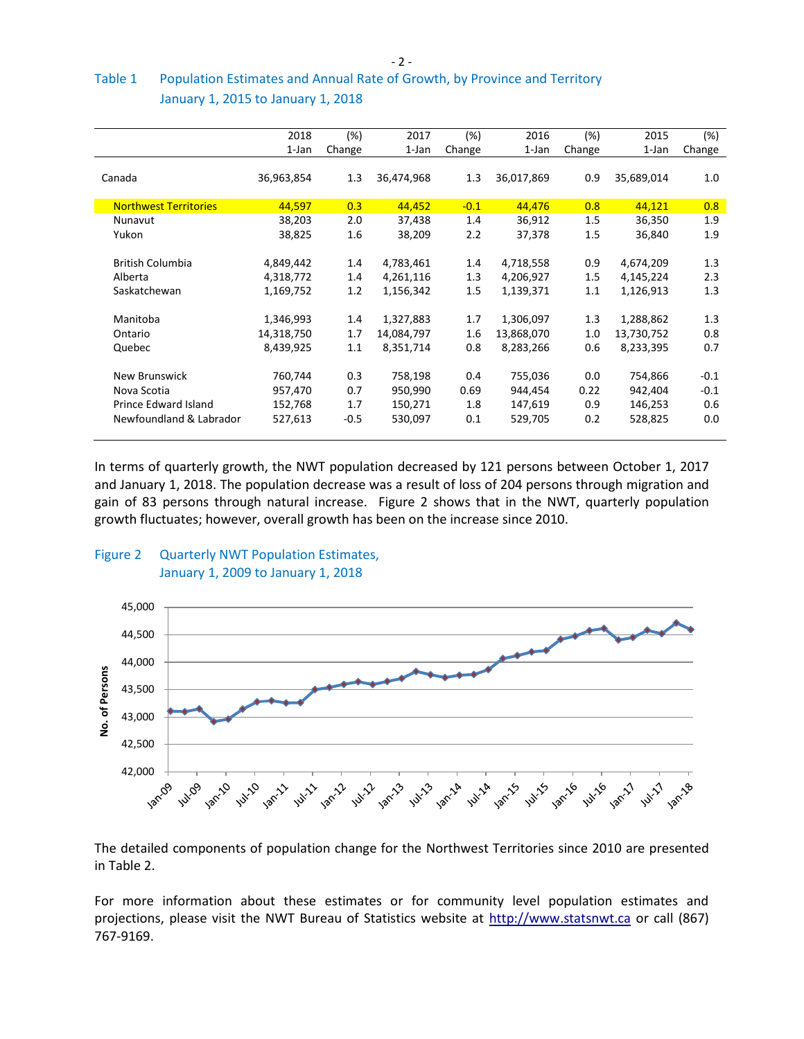$-2 -$ 

## Table 1 Population Estimates and Annual Rate of Growth, by Province and Territory January 1, 2015 to January 1, 2018

|                              | 2018       | (%)     | 2017       | (%)     | 2016       | (%)     | 2015       | (%)    |
|------------------------------|------------|---------|------------|---------|------------|---------|------------|--------|
|                              | 1-Jan      | Change  | 1-Jan      | Change  | 1-Jan      | Change  | 1-Jan      | Change |
|                              |            |         |            |         |            |         |            |        |
| Canada                       | 36,963,854 | 1.3     | 36,474,968 | 1.3     | 36,017,869 | 0.9     | 35,689,014 | 1.0    |
|                              |            |         |            |         |            |         |            |        |
| <b>Northwest Territories</b> | 44,597     | 0.3     | 44,452     | $-0.1$  | 44,476     | 0.8     | 44,121     | 0.8    |
| Nunavut                      | 38,203     | 2.0     | 37,438     | 1.4     | 36,912     | 1.5     | 36,350     | 1.9    |
| Yukon                        | 38,825     | 1.6     | 38,209     | 2.2     | 37,378     | 1.5     | 36,840     | 1.9    |
|                              |            |         |            |         |            |         |            |        |
| <b>British Columbia</b>      | 4,849,442  | $1.4\,$ | 4,783,461  | 1.4     | 4,718,558  | 0.9     | 4,674,209  | 1.3    |
| Alberta                      | 4,318,772  | 1.4     | 4,261,116  | 1.3     | 4,206,927  | 1.5     | 4,145,224  | 2.3    |
| Saskatchewan                 | 1,169,752  | 1.2     | 1,156,342  | $1.5\,$ | 1,139,371  | $1.1\,$ | 1,126,913  | 1.3    |
|                              |            |         |            |         |            |         |            |        |
| Manitoba                     | 1,346,993  | 1.4     | 1,327,883  | 1.7     | 1,306,097  | 1.3     | 1,288,862  | 1.3    |
| Ontario                      | 14,318,750 | 1.7     | 14,084,797 | 1.6     | 13,868,070 | 1.0     | 13,730,752 | 0.8    |
| Quebec                       | 8,439,925  | 1.1     | 8,351,714  | 0.8     | 8,283,266  | 0.6     | 8,233,395  | 0.7    |
|                              |            |         |            |         |            |         |            |        |
| New Brunswick                | 760,744    | 0.3     | 758,198    | 0.4     | 755,036    | 0.0     | 754,866    | $-0.1$ |
| Nova Scotia                  | 957,470    | 0.7     | 950,990    | 0.69    | 944,454    | 0.22    | 942,404    | $-0.1$ |
| Prince Edward Island         | 152,768    | 1.7     | 150,271    | 1.8     | 147,619    | 0.9     | 146,253    | 0.6    |
| Newfoundland & Labrador      | 527,613    | $-0.5$  | 530,097    | 0.1     | 529,705    | 0.2     | 528,825    | 0.0    |
|                              |            |         |            |         |            |         |            |        |
|                              |            |         |            |         |            |         |            |        |

In terms of quarterly growth, the NWT population decreased by 121 persons between October 1, 2017 and January 1, 2018. The population decrease was a result of loss of 204 persons through migration and gain of 83 persons through natural increase. Figure 2 shows that in the NWT, quarterly population growth fluctuates; however, overall growth has been on the increase since 2010.

## Figure 2 Quarterly NWT Population Estimates, January 1, 2009 to January 1, 2018



The detailed components of population change for the Northwest Territories since 2010 are presented in Table 2.

For more information about these estimates or for community level population estimates and projections, please visit the NWT Bureau of Statistics website at http://www.statsnwt.ca or call (867) 767-9169.